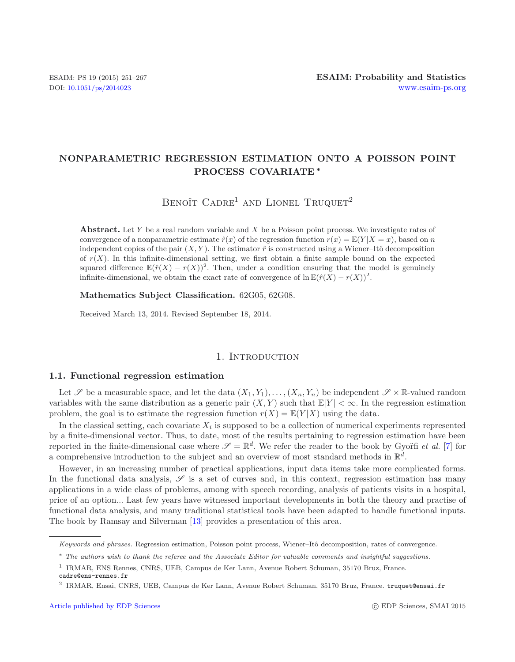# **NONPARAMETRIC REGRESSION ESTIMATION ONTO A POISSON POINT PROCESS COVARIATE** *∗*

BENOÎT  $C$ ADRE<sup>1</sup> AND LIONEL TRUQUET<sup>2</sup>

**Abstract.** Let *Y* be a real random variable and *X* be a Poisson point process. We investigate rates of convergence of a nonparametric estimate  $\hat{r}(x)$  of the regression function  $r(x) = \mathbb{E}(Y|X = x)$ , based on *n* independent copies of the pair  $(X, Y)$ . The estimator  $\hat{r}$  is constructed using a Wiener–Itô decomposition of  $r(X)$ . In this infinite-dimensional setting, we first obtain a finite sample bound on the expected squared difference  $\mathbb{E}(\hat{r}(X) - r(X))^2$ . Then, under a condition ensuring that the model is genuinely infinite-dimensional, we obtain the exact rate of convergence of  $\ln \mathbb{E}(\hat{r}(X) - r(X))^2$ .

**Mathematics Subject Classification.** 62G05, 62G08.

Received March 13, 2014. Revised September 18, 2014.

## 1. INTRODUCTION

#### **1.1. Functional regression estimation**

Let  $\mathscr S$  be a measurable space, and let the data  $(X_1, Y_1), \ldots, (X_n, Y_n)$  be independent  $\mathscr S \times \mathbb R$ -valued random variables with the same distribution as a generic pair  $(X, Y)$  such that  $\mathbb{E}[Y] < \infty$ . In the regression estimation problem, the goal is to estimate the regression function  $r(X) = \mathbb{E}(Y|X)$  using the data.

In the classical setting, each covariate  $X_i$  is supposed to be a collection of numerical experiments represented by a finite-dimensional vector. Thus, to date, most of the results pertaining to regression estimation have been reported in the finite-dimensional case where  $\mathscr{S} = \mathbb{R}^d$ . We refer the reader to the book by Gyoïfi *et al.* [\[7](#page-16-0)] for a comprehensive introduction to the subject and an overview of most standard methods in  $\mathbb{R}^d$ .

However, in an increasing number of practical applications, input data items take more complicated forms. In the functional data analysis,  $\mathscr S$  is a set of curves and, in this context, regression estimation has many applications in a wide class of problems, among with speech recording, analysis of patients visits in a hospital, price of an option... Last few years have witnessed important developments in both the theory and practise of functional data analysis, and many traditional statistical tools have been adapted to handle functional inputs. The book by Ramsay and Silverman [\[13](#page-16-1)] provides a presentation of this area.

*Keywords and phrases.* Regression estimation, Poisson point process, Wiener–Itô decomposition, rates of convergence.

<sup>∗</sup> *The authors wish to thank the referee and the Associate Editor for valuable comments and insightful suggestions.*

<sup>1</sup> IRMAR, ENS Rennes, CNRS, UEB, Campus de Ker Lann, Avenue Robert Schuman, 35170 Bruz, France. cadre@ens-rennes.fr

<sup>2</sup> IRMAR, Ensai, CNRS, UEB, Campus de Ker Lann, Avenue Robert Schuman, 35170 Bruz, France. truquet@ensai.fr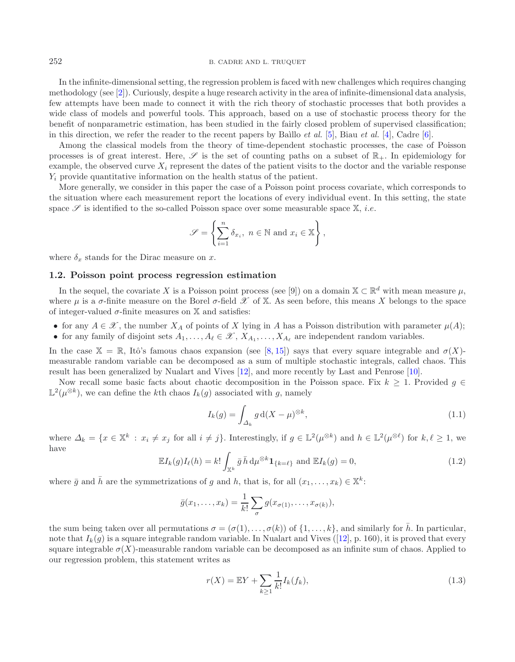252 B. CADRE AND L. TRUQUET

In the infinite-dimensional setting, the regression problem is faced with new challenges which requires changing methodology (see [\[2\]](#page-15-0)). Curiously, despite a huge research activity in the area of infinite-dimensional data analysis, few attempts have been made to connect it with the rich theory of stochastic processes that both provides a wide class of models and powerful tools. This approach, based on a use of stochastic process theory for the benefit of nonparametric estimation, has been studied in the fairly closed problem of supervised classification; in this direction, we refer the reader to the recent papers by Baillo *et al.* [\[5](#page-15-1)], Biau *et al.* [\[4\]](#page-15-2), Cadre [\[6\]](#page-15-3).

Among the classical models from the theory of time-dependent stochastic processes, the case of Poisson processes is of great interest. Here,  $\mathscr S$  is the set of counting paths on a subset of  $\mathbb R_+$ . In epidemiology for example, the observed curve  $X_i$  represent the dates of the patient visits to the doctor and the variable response  $Y_i$  provide quantitative information on the health status of the patient.

More generally, we consider in this paper the case of a Poisson point process covariate, which corresponds to the situation where each measurement report the locations of every individual event. In this setting, the state space  $\mathscr S$  is identified to the so-called Poisson space over some measurable space  $\mathbb X$ , *i.e.* 

<span id="page-1-2"></span>
$$
\mathscr{S} = \left\{ \sum_{i=1}^{n} \delta_{x_i}, \ n \in \mathbb{N} \text{ and } x_i \in \mathbb{X} \right\},\
$$

where  $\delta_x$  stands for the Dirac measure on x.

## **1.2. Poisson point process regression estimation**

In the sequel, the covariate X is a Poisson point process (see [9]) on a domain  $\mathbb{X} \subset \mathbb{R}^d$  with mean measure  $\mu$ , where  $\mu$  is a  $\sigma$ -finite measure on the Borel  $\sigma$ -field  $\mathscr X$  of X. As seen before, this means X belongs to the space of integer-valued  $\sigma$ -finite measures on X and satisfies:

- <span id="page-1-1"></span>• for any  $A \in \mathscr{X}$ , the number  $X_A$  of points of X lying in A has a Poisson distribution with parameter  $\mu(A)$ ;
- for any family of disjoint sets  $A_1, \ldots, A_\ell \in \mathcal{X}, X_{A_1}, \ldots, X_{A_\ell}$  are independent random variables.

In the case  $\mathbb{X} = \mathbb{R}$ , Itô's famous chaos expansion (see [\[8,](#page-16-2) [15](#page-16-3)]) says that every square integrable and  $\sigma(X)$ measurable random variable can be decomposed as a sum of multiple stochastic integrals, called chaos. This result has been generalized by Nualart and Vives [\[12\]](#page-16-4), and more recently by Last and Penrose [\[10](#page-16-5)].

Now recall some basic facts about chaotic decomposition in the Poisson space. Fix  $k \geq 1$ . Provided g ∈  $\mathbb{L}^2(\mu^{\otimes k})$ , we can define the kth chaos  $I_k(g)$  associated with g, namely

$$
I_k(g) = \int_{\Delta_k} g \, \mathrm{d}(X - \mu)^{\otimes k},\tag{1.1}
$$

where  $\Delta_k = \{x \in \mathbb{X}^k : x_i \neq x_j \text{ for all } i \neq j\}$ . Interestingly, if  $g \in \mathbb{L}^2(\mu^{\otimes k})$  and  $h \in \mathbb{L}^2(\mu^{\otimes \ell})$  for  $k, \ell \geq 1$ , we have

<span id="page-1-0"></span>
$$
\mathbb{E}I_k(g)I_\ell(h) = k! \int_{\mathbb{X}^k} \bar{g} \,\bar{h} \, \mathrm{d}\mu^{\otimes k} \mathbf{1}_{\{k=\ell\}} \text{ and } \mathbb{E}I_k(g) = 0,\tag{1.2}
$$

where  $\bar{g}$  and  $\bar{h}$  are the symmetrizations of g and h, that is, for all  $(x_1,...,x_k) \in \mathbb{X}^k$ :

$$
\bar{g}(x_1,\ldots,x_k)=\frac{1}{k!}\sum_{\sigma}g(x_{\sigma(1)},\ldots,x_{\sigma(k)}),
$$

the sum being taken over all permutations  $\sigma = (\sigma(1), \ldots, \sigma(k))$  of  $\{1, \ldots, k\}$ , and similarly for  $\bar{h}$ . In particular, note that  $I_k(g)$  is a square integrable random variable. In Nualart and Vives ([\[12](#page-16-4)], p. 160), it is proved that every square integrable  $\sigma(X)$ -measurable random variable can be decomposed as an infinite sum of chaos. Applied to our regression problem, this statement writes as

$$
r(X) = \mathbb{E}Y + \sum_{k \ge 1} \frac{1}{k!} I_k(f_k),
$$
\n(1.3)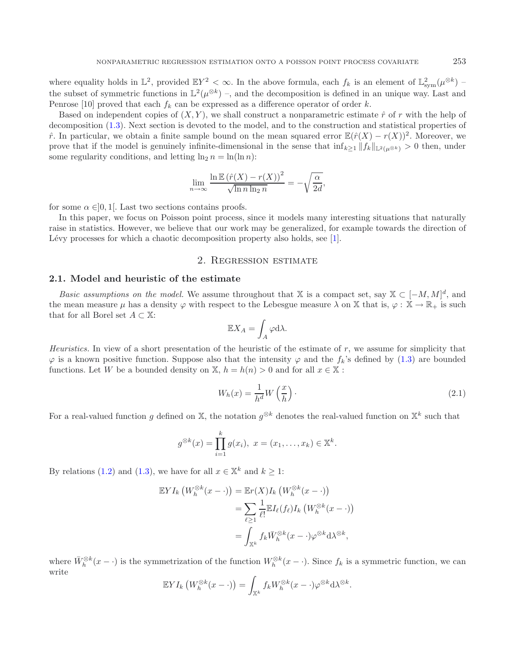where equality holds in  $\mathbb{L}^2$ , provided  $\mathbb{E}Y^2 < \infty$ . In the above formula, each  $f_k$  is an element of  $\mathbb{L}^2_{sym}(\mu^{\otimes k})$  the subset of symmetric functions in  $\mathbb{L}^2(\mu^{\otimes k})$  –, and the decomposition is defined in an unique way. Last and Penrose [10] proved that each  $f_k$  can be expressed as a difference operator of order k.

Based on independent copies of  $(X, Y)$ , we shall construct a nonparametric estimate  $\hat{r}$  of r with the help of decomposition [\(1.3\)](#page-1-0). Next section is devoted to the model, and to the construction and statistical properties of  $\hat{r}$ . In particular, we obtain a finite sample bound on the mean squared error  $\mathbb{E}(\hat{r}(X) - r(X))^2$ . Moreover, we prove that if the model is genuinely infinite-dimensional in the sense that  $\inf_{k>1} ||f_k||_{\mathbb{L}^2(\mu^{\otimes k})} > 0$  then, under some regularity conditions, and letting  $\ln_2 n = \ln(\ln n)$ :

$$
\lim_{n \to \infty} \frac{\ln \mathbb{E} (\hat{r}(X) - r(X))^2}{\sqrt{\ln n \ln_2 n}} = -\sqrt{\frac{\alpha}{2d}},
$$

for some  $\alpha \in ]0,1[$ . Last two sections contains proofs.

In this paper, we focus on Poisson point process, since it models many interesting situations that naturally raise in statistics. However, we believe that our work may be generalized, for example towards the direction of Lévy processes for which a chaotic decomposition property also holds, see [\[1\]](#page-15-4).

### <span id="page-2-0"></span>2. Regression estimate

#### **2.1. Model and heuristic of the estimate**

*Basic assumptions on the model.* We assume throughout that X is a compact set, say  $X \subset [-M, M]^d$ , and the mean measure  $\mu$  has a density  $\varphi$  with respect to the Lebesgue measure  $\lambda$  on X that is,  $\varphi : \mathbb{X} \to \mathbb{R}_+$  is such that for all Borel set  $A \subset \mathbb{X}$ :

$$
\mathbb{E}X_A = \int_A \varphi \mathrm{d}\lambda.
$$

*Heuristics.* In view of a short presentation of the heuristic of the estimate of r, we assume for simplicity that  $\varphi$  is a known positive function. Suppose also that the intensity  $\varphi$  and the  $f_k$ 's defined by [\(1.3\)](#page-1-0) are bounded functions. Let W be a bounded density on X,  $h = h(n) > 0$  and for all  $x \in X$ :

$$
W_h(x) = \frac{1}{h^d} W\left(\frac{x}{h}\right). \tag{2.1}
$$

For a real-valued function g defined on X, the notation  $g^{\otimes k}$  denotes the real-valued function on  $\mathbb{X}^k$  such that

$$
g^{\otimes k}(x) = \prod_{i=1}^{k} g(x_i), \ x = (x_1, \dots, x_k) \in \mathbb{X}^k.
$$

By relations [\(1.2\)](#page-1-1) and [\(1.3\)](#page-1-0), we have for all  $x \in \mathbb{X}^k$  and  $k \geq 1$ :

$$
\mathbb{E} Y I_k \left( W_h^{\otimes k} (x - \cdot) \right) = \mathbb{E} r(X) I_k \left( W_h^{\otimes k} (x - \cdot) \right)
$$
  

$$
= \sum_{\ell \ge 1} \frac{1}{\ell!} \mathbb{E} I_\ell(f_\ell) I_k \left( W_h^{\otimes k} (x - \cdot) \right)
$$
  

$$
= \int_{\mathbb{X}^k} f_k \overline{W}_h^{\otimes k} (x - \cdot) \varphi^{\otimes k} d\lambda^{\otimes k},
$$

where  $\bar{W}_h^{\otimes k}(x - \cdot)$  is the symmetrization of the function  $W_h^{\otimes k}(x - \cdot)$ . Since  $f_k$  is a symmetric function, we can write

$$
\mathbb{E} Y I_k \left( W_h^{\otimes k} (x - \cdot) \right) = \int_{\mathbb{X}^k} f_k W_h^{\otimes k} (x - \cdot) \varphi^{\otimes k} d\lambda^{\otimes k}.
$$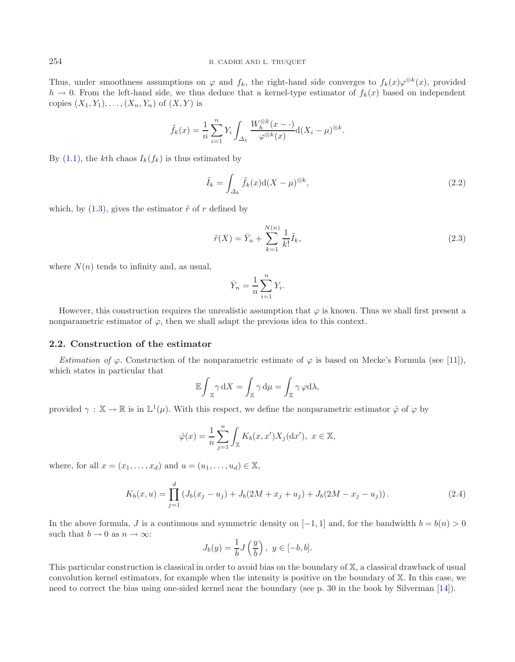Thus, under smoothness assumptions on  $\varphi$  and  $f_k$ , the right-hand side converges to  $f_k(x)\varphi^{\otimes k}(x)$ , provided  $h \to 0$ . From the left-hand side, we thus deduce that a kernel-type estimator of  $f_k(x)$  based on independent copies  $(X_1, Y_1), \ldots, (X_n, Y_n)$  of  $(X, Y)$  is

<span id="page-3-1"></span><span id="page-3-0"></span>
$$
\tilde{f}_k(x) = \frac{1}{n} \sum_{i=1}^n Y_i \int_{\Delta_k} \frac{W_h^{\otimes k}(x - \cdot)}{\varphi^{\otimes k}(x)} d(X_i - \mu)^{\otimes k}.
$$

By  $(1.1)$ , the kth chaos  $I_k(f_k)$  is thus estimated by

$$
\tilde{I}_k = \int_{\Delta_k} \tilde{f}_k(x) d(X - \mu)^{\otimes k},\tag{2.2}
$$

which, by  $(1.3)$ , gives the estimator  $\tilde{r}$  of r defined by

$$
\tilde{r}(X) = \bar{Y}_n + \sum_{k=1}^{N(n)} \frac{1}{k!} \tilde{I}_k,
$$
\n(2.3)

where  $N(n)$  tends to infinity and, as usual,

$$
\bar{Y}_n = \frac{1}{n} \sum_{i=1}^n Y_i.
$$

However, this construction requires the unrealistic assumption that  $\varphi$  is known. Thus we shall first present a nonparametric estimator of  $\varphi$ , then we shall adapt the previous idea to this context.

## **2.2. Construction of the estimator**

*Estimation of*  $\varphi$ . Construction of the nonparametric estimate of  $\varphi$  is based on Mecke's Formula (see [\[11](#page-16-6)]), which states in particular that

<span id="page-3-2"></span>
$$
\mathbb{E}\int_{\mathbb{X}}\gamma\,\mathrm{d}X=\int_{\mathbb{X}}\gamma\,\mathrm{d}\mu=\int_{\mathbb{X}}\gamma\,\varphi\mathrm{d}\lambda,
$$

provided  $\gamma : \mathbb{X} \to \mathbb{R}$  is in  $\mathbb{L}^1(\mu)$ . With this respect, we define the nonparametric estimator  $\hat{\varphi}$  of  $\varphi$  by

$$
\hat{\varphi}(x) = \frac{1}{n} \sum_{j=1}^{n} \int_{\mathbb{X}} K_b(x, x') X_j(\mathrm{d}x'), \ x \in \mathbb{X},
$$

where, for all  $x = (x_1, \ldots, x_d)$  and  $u = (u_1, \ldots, u_d) \in \mathbb{X}$ ,

$$
K_b(x, u) = \prod_{j=1}^d \left( J_b(x_j - u_j) + J_b(2M + x_j + u_j) + J_b(2M - x_j - u_j) \right). \tag{2.4}
$$

In the above formula, J is a continuous and symmetric density on  $[-1, 1]$  and, for the bandwidth  $b = b(n) > 0$ such that  $b \to 0$  as  $n \to \infty$ :

$$
J_b(y) = \frac{1}{b}J\left(\frac{y}{b}\right), \ y \in [-b, b].
$$

This particular construction is classical in order to avoid bias on the boundary of X, a classical drawback of usual convolution kernel estimators, for example when the intensity is positive on the boundary of X. In this case, we need to correct the bias using one-sided kernel near the boundary (see p. 30 in the book by Silverman [\[14\]](#page-16-7)).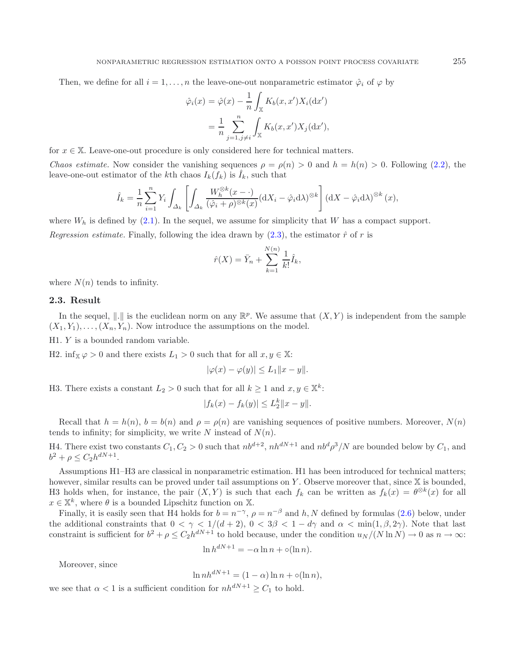Then, we define for all  $i = 1, \ldots, n$  the leave-one-out nonparametric estimator  $\hat{\varphi}_i$  of  $\varphi$  by

$$
\hat{\varphi}_i(x) = \hat{\varphi}(x) - \frac{1}{n} \int_{\mathbb{X}} K_b(x, x') X_i(\mathrm{d}x')
$$

$$
= \frac{1}{n} \sum_{j=1, j \neq i}^n \int_{\mathbb{X}} K_b(x, x') X_j(\mathrm{d}x'),
$$

for  $x \in \mathbb{X}$ . Leave-one-out procedure is only considered here for technical matters.

*Chaos estimate.* Now consider the vanishing sequences  $\rho = \rho(n) > 0$  and  $h = h(n) > 0$ . Following [\(2.2\)](#page-3-0), the leave-one-out estimator of the kth chaos  $I_k(f_k)$  is  $\hat{I}_k$ , such that

$$
\hat{I}_k = \frac{1}{n} \sum_{i=1}^n Y_i \int_{\Delta_k} \left[ \int_{\Delta_k} \frac{W_h^{\otimes k}(x - \cdot)}{(\hat{\varphi}_i + \rho)^{\otimes k}(x)} (\mathrm{d}X_i - \hat{\varphi}_i \mathrm{d}\lambda)^{\otimes k} \right] (\mathrm{d}X - \hat{\varphi}_i \mathrm{d}\lambda)^{\otimes k}(x),
$$

where  $W_h$  is defined by [\(2.1\)](#page-2-0). In the sequel, we assume for simplicity that W has a compact support. *Regression estimate.* Finally, following the idea drawn by  $(2.3)$ , the estimator  $\hat{r}$  of r is

$$
\hat{r}(X) = \bar{Y}_n + \sum_{k=1}^{N(n)} \frac{1}{k!} \hat{I}_k,
$$

where  $N(n)$  tends to infinity.

#### **2.3. Result**

In the sequel,  $\|.\|$  is the euclidean norm on any  $\mathbb{R}^p$ . We assume that  $(X, Y)$  is independent from the sample  $(X_1, Y_1), \ldots, (X_n, Y_n)$ . Now introduce the assumptions on the model.

H1. Y is a bounded random variable.

H2. inf<sub>X</sub>  $\varphi > 0$  and there exists  $L_1 > 0$  such that for all  $x, y \in \mathbb{X}$ :

$$
|\varphi(x) - \varphi(y)| \le L_1 ||x - y||.
$$

H3. There exists a constant  $L_2 > 0$  such that for all  $k \ge 1$  and  $x, y \in \mathbb{X}^k$ :

$$
|f_k(x) - f_k(y)| \le L_2^k ||x - y||.
$$

Recall that  $h = h(n)$ ,  $b = b(n)$  and  $\rho = \rho(n)$  are vanishing sequences of positive numbers. Moreover,  $N(n)$ tends to infinity; for simplicity, we write N instead of  $N(n)$ .

H4. There exist two constants  $C_1, C_2 > 0$  such that  $nb^{d+2}$ ,  $nh^{dN+1}$  and  $nb^d\rho^3/N$  are bounded below by  $C_1$ , and  $b^2 + \rho \leq C_2 h^{dN+1}.$ 

Assumptions H1–H3 are classical in nonparametric estimation. H1 has been introduced for technical matters; however, similar results can be proved under tail assumptions on Y. Observe moreover that, since X is bounded, H3 holds when, for instance, the pair  $(X, Y)$  is such that each  $f_k$  can be written as  $f_k(x) = \theta^{\otimes k}(x)$  for all  $x \in \mathbb{X}^k$ , where  $\theta$  is a bounded Lipschitz function on X.

Finally, it is easily seen that H4 holds for  $b = n^{-\gamma}$ ,  $\rho = n^{-\beta}$  and h, N defined by formulas [\(2.6\)](#page-5-0) below, under the additional constraints that  $0 < \gamma < 1/(d+2)$ ,  $0 < 3\beta < 1-d\gamma$  and  $\alpha < \min(1,\beta,2\gamma)$ . Note that last constraint is sufficient for  $b^2 + \rho \leq C_2 h^{dN+1}$  to hold because, under the condition  $u_N/(N \ln N) \to 0$  as  $n \to \infty$ :

$$
\ln h^{dN+1} = -\alpha \ln n + o(\ln n).
$$

Moreover, since

$$
\ln nh^{dN+1} = (1 - \alpha) \ln n + o(\ln n),
$$

we see that  $\alpha < 1$  is a sufficient condition for  $nh^{dN+1} \geq C_1$  to hold.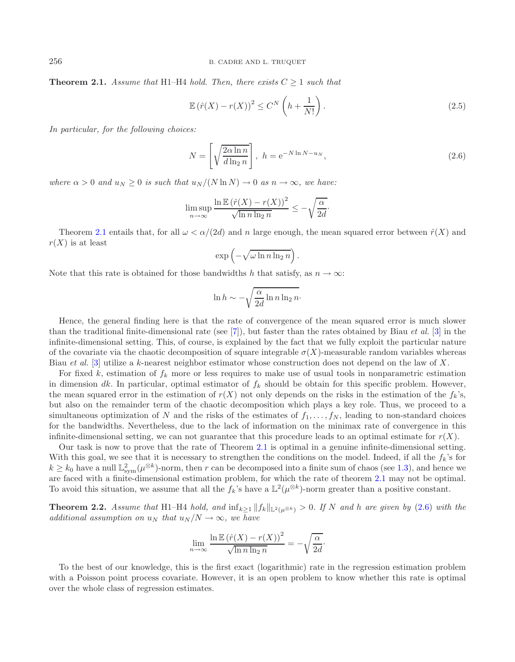<span id="page-5-1"></span>**Theorem 2.1.** *Assume that* H1–H4 *hold. Then, there exists*  $C \geq 1$  *such that* 

<span id="page-5-0"></span>
$$
\mathbb{E}\left(\hat{r}(X) - r(X)\right)^2 \le C^N \left(h + \frac{1}{N!}\right). \tag{2.5}
$$

*In particular, for the following choices:*

$$
N = \left[ \sqrt{\frac{2\alpha \ln n}{d \ln_2 n}} \right], \quad h = e^{-N \ln N - u_N}, \tag{2.6}
$$

*where*  $\alpha > 0$  *and*  $u_N \geq 0$  *is such that*  $u_N/(N \ln N) \to 0$  *as*  $n \to \infty$ *, we have:* 

$$
\limsup_{n \to \infty} \frac{\ln \mathbb{E} (\hat{r}(X) - r(X))^2}{\sqrt{\ln n \ln_2 n}} \le -\sqrt{\frac{\alpha}{2d}}.
$$

Theorem [2.1](#page-5-1) entails that, for all  $\omega < \alpha/(2d)$  and n large enough, the mean squared error between  $\hat{r}(X)$  and  $r(X)$  is at least

$$
\exp\left(-\sqrt{\omega \ln n \ln_2 n}\right).
$$

Note that this rate is obtained for those bandwidths h that satisfy, as  $n \to \infty$ :

$$
\ln h \sim -\sqrt{\frac{\alpha}{2d} \ln n \ln_2 n}.
$$

Hence, the general finding here is that the rate of convergence of the mean squared error is much slower than the traditional finite-dimensional rate (see [\[7](#page-16-0)]), but faster than the rates obtained by Biau *et al.* [\[3](#page-15-5)] in the infinite-dimensional setting. This, of course, is explained by the fact that we fully exploit the particular nature of the covariate via the chaotic decomposition of square integrable  $\sigma(X)$ -measurable random variables whereas Biau *et al.* [\[3\]](#page-15-5) utilize a k-nearest neighbor estimator whose construction does not depend on the law of X.

For fixed k, estimation of  $f_k$  more or less requires to make use of usual tools in nonparametric estimation in dimension dk. In particular, optimal estimator of  $f_k$  should be obtain for this specific problem. However, the mean squared error in the estimation of  $r(X)$  not only depends on the risks in the estimation of the  $f_k$ 's, but also on the remainder term of the chaotic decomposition which plays a key role. Thus, we proceed to a simultaneous optimization of N and the risks of the estimates of  $f_1, \ldots, f_N$ , leading to non-standard choices for the bandwidths. Nevertheless, due to the lack of information on the minimax rate of convergence in this infinite-dimensional setting, we can not guarantee that this procedure leads to an optimal estimate for  $r(X)$ .

Our task is now to prove that the rate of Theorem [2.1](#page-5-1) is optimal in a genuine infinite-dimensional setting. With this goal, we see that it is necessary to strengthen the conditions on the model. Indeed, if all the  $f_k$ 's for  $k \geq k_0$  have a null  $\mathbb{L}^2_{sym}(\mu^{\otimes k})$ -norm, then r can be decomposed into a finite sum of chaos (see [1.3\)](#page-1-0), and hence we are faced with a finite-dimensional estimation problem, for which the rate of theorem [2.1](#page-5-1) may not be optimal. To avoid this situation, we assume that all the  $f_k$ 's have a  $\mathbb{L}^2(\mu^{\otimes k})$ -norm greater than a positive constant.

<span id="page-5-2"></span>**Theorem 2.2.** *Assume that* H1–H4 *hold, and*  $\inf_{k>1} ||f_k||_{L^2(\mu^{\otimes k})} > 0$ . If N and h are given by [\(2.6\)](#page-5-0) with the *additional assumption on*  $u_N$  *that*  $u_N/N \to \infty$ *, we have* 

$$
\lim_{n \to \infty} \frac{\ln \mathbb{E} (\hat{r}(X) - r(X))^2}{\sqrt{\ln n \ln_2 n}} = -\sqrt{\frac{\alpha}{2d}}.
$$

To the best of our knowledge, this is the first exact (logarithmic) rate in the regression estimation problem with a Poisson point process covariate. However, it is an open problem to know whether this rate is optimal over the whole class of regression estimates.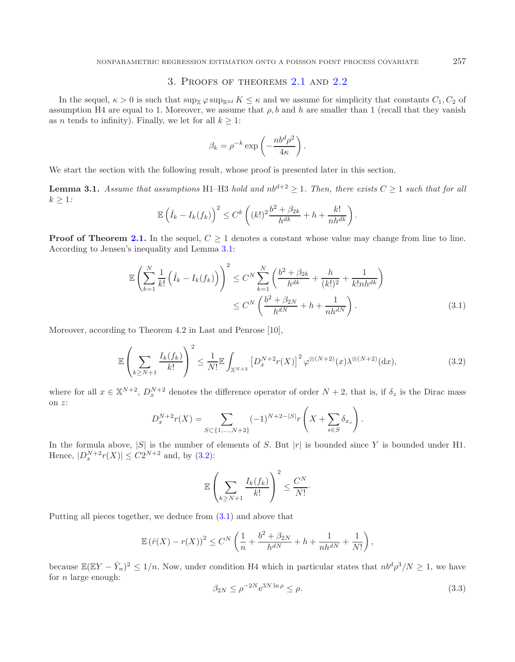## 3. Proofs of theorems [2.1](#page-5-1) and [2.2](#page-5-2)

In the sequel,  $\kappa > 0$  is such that  $\sup_{\mathbb{X}} \varphi \sup_{\mathbb{R}^{2d}} K \leq \kappa$  and we assume for simplicity that constants  $C_1, C_2$  of assumption H4 are equal to 1. Moreover, we assume that  $\rho$ , b and h are smaller than 1 (recall that they vanish as *n* tends to infinity). Finally, we let for all  $k \geq 1$ :

<span id="page-6-1"></span>
$$
\beta_k = \rho^{-k} \exp\left(-\frac{nb^d \rho^2}{4\kappa}\right).
$$

<span id="page-6-0"></span>We start the section with the following result, whose proof is presented later in this section.

**Lemma 3.1.** *Assume that assumptions* H1–H3 *hold and*  $nb^{d+2} \ge 1$ *. Then, there exists*  $C \ge 1$  *such that for all*  $k \geq 1$ *:* 

$$
\mathbb{E}\left(\hat{I}_k - I_k(f_k)\right)^2 \leq C^k \left( (k!)^2 \frac{b^2 + \beta_{2k}}{h^{dk}} + h + \frac{k!}{nh^{dk}} \right).
$$

<span id="page-6-2"></span>**Proof of Theorem [2.1.](#page-5-1)** In the sequel,  $C \geq 1$  denotes a constant whose value may change from line to line. According to Jensen's inequality and Lemma [3.1:](#page-6-0)

$$
\mathbb{E}\left(\sum_{k=1}^{N}\frac{1}{k!}\left(\hat{I}_{k}-I_{k}(f_{k})\right)\right)^{2} \leq C^{N}\sum_{k=1}^{N}\left(\frac{b^{2}+\beta_{2k}}{h^{dk}}+\frac{h}{(k!)^{2}}+\frac{1}{k!nh^{dk}}\right) \leq C^{N}\left(\frac{b^{2}+\beta_{2N}}{h^{dN}}+h+\frac{1}{nh^{dN}}\right).
$$
\n(3.1)

Moreover, according to Theorem 4.2 in Last and Penrose [10],

$$
\mathbb{E}\left(\sum_{k\geq N+1} \frac{I_k(f_k)}{k!}\right)^2 \leq \frac{1}{N!} \mathbb{E}\int_{\mathbb{X}^{N+2}} \left[D_x^{N+2}r(X)\right]^2 \varphi^{\otimes (N+2)}(x) \lambda^{\otimes (N+2)}(\mathrm{d}x),\tag{3.2}
$$

where for all  $x \in \mathbb{X}^{N+2}$ ,  $D_x^{N+2}$  denotes the difference operator of order  $N+2$ , that is, if  $\delta_z$  is the Dirac mass on z:

$$
D_x^{N+2}r(X) = \sum_{S \subset \{1, ..., N+2\}} (-1)^{N+2-|S|} r\left(X + \sum_{s \in S} \delta_{x_s}\right).
$$

<span id="page-6-3"></span>In the formula above,  $|S|$  is the number of elements of S. But  $|r|$  is bounded since Y is bounded under H1. Hence,  $|D_x^{N+2}r(X)| \leq C2^{N+2}$  and, by [\(3.2\)](#page-6-1):

$$
\mathbb{E}\left(\sum_{k\geq N+1}\frac{I_k(f_k)}{k!}\right)^2\leq \frac{C^N}{N!}.
$$

Putting all pieces together, we deduce from [\(3.1\)](#page-6-2) and above that

$$
\mathbb{E} (\hat{r}(X) - r(X))^2 \le C^N \left( \frac{1}{n} + \frac{b^2 + \beta_{2N}}{h^{dN}} + h + \frac{1}{nh^{dN}} + \frac{1}{N!} \right),
$$

because  $\mathbb{E}(\mathbb{E}Y - \bar{Y}_n)^2 \leq 1/n$ . Now, under condition H4 which in particular states that  $nb^d\rho^3/N \geq 1$ , we have for  $n$  large enough:

$$
\beta_{2N} \le \rho^{-2N} e^{3N \ln \rho} \le \rho. \tag{3.3}
$$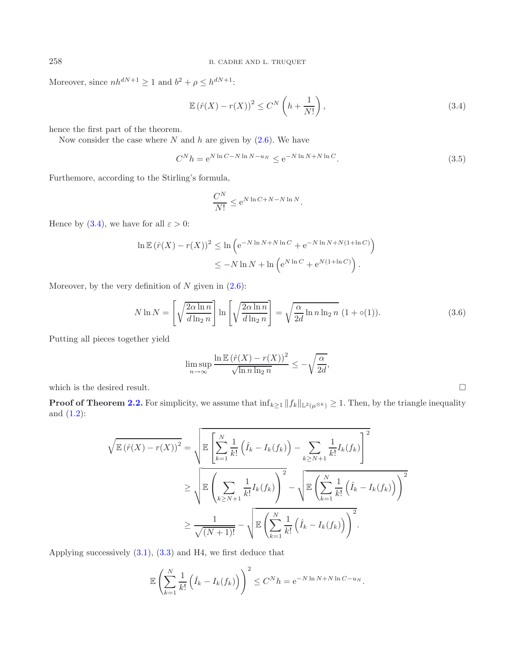Moreover, since  $nh^{dN+1} \ge 1$  and  $b^2 + \rho \le h^{dN+1}$ :

<span id="page-7-0"></span>
$$
\mathbb{E}\left(\hat{r}(X) - r(X)\right)^2 \le C^N \left(h + \frac{1}{N!}\right),\tag{3.4}
$$

hence the first part of the theorem.

Now consider the case where  $N$  and  $h$  are given by  $(2.6)$ . We have

<span id="page-7-1"></span>
$$
C^{N}h = e^{N \ln C - N \ln N - u_N} \le e^{-N \ln N + N \ln C}.
$$
\n(3.5)

Furthemore, according to the Stirling's formula,

$$
\frac{C^N}{N!} \le e^{N \ln C + N - N \ln N}.
$$

Hence by [\(3.4\)](#page-7-0), we have for all  $\varepsilon > 0$ :

$$
\ln \mathbb{E} (\hat{r}(X) - r(X))^2 \leq \ln \left( e^{-N \ln N + N \ln C} + e^{-N \ln N + N(1 + \ln C)} \right)
$$
  
 
$$
\leq -N \ln N + \ln \left( e^{N \ln C} + e^{N(1 + \ln C)} \right).
$$

Moreover, by the very definition of  $N$  given in  $(2.6)$ :

$$
N \ln N = \left[ \sqrt{\frac{2\alpha \ln n}{d \ln_2 n}} \right] \ln \left[ \sqrt{\frac{2\alpha \ln n}{d \ln_2 n}} \right] = \sqrt{\frac{\alpha}{2d} \ln n \ln_2 n} \ (1 + o(1)). \tag{3.6}
$$

Putting all pieces together yield

$$
\limsup_{n \to \infty} \frac{\ln \mathbb{E} (\hat{r}(X) - r(X))^2}{\sqrt{\ln n \ln_2 n}} \le -\sqrt{\frac{\alpha}{2d}},
$$

 $\hfill \square$ 

which is the desired result.

**Proof of Theorem [2.2.](#page-5-2)** For simplicity, we assume that  $\inf_{k\geq 1} ||f_k||_{\mathbb{L}^2(\mu^{\otimes k})} \geq 1$ . Then, by the triangle inequality and [\(1.2\)](#page-1-1):

$$
\sqrt{\mathbb{E}(\hat{r}(X) - r(X))^2} = \sqrt{\mathbb{E}\left[\sum_{k=1}^N \frac{1}{k!} \left(\hat{I}_k - I_k(f_k)\right) - \sum_{k \ge N+1} \frac{1}{k!} I_k(f_k)\right]^2}
$$
  
\n
$$
\ge \sqrt{\mathbb{E}\left(\sum_{k \ge N+1} \frac{1}{k!} I_k(f_k)\right)^2} - \sqrt{\mathbb{E}\left(\sum_{k=1}^N \frac{1}{k!} \left(\hat{I}_k - I_k(f_k)\right)\right)^2}
$$
  
\n
$$
\ge \frac{1}{\sqrt{(N+1)!}} - \sqrt{\mathbb{E}\left(\sum_{k=1}^N \frac{1}{k!} \left(\hat{I}_k - I_k(f_k)\right)\right)^2}.
$$

Applying successively [\(3.1\)](#page-6-2), [\(3.3\)](#page-6-3) and H4, we first deduce that

$$
\mathbb{E}\left(\sum_{k=1}^N \frac{1}{k!} \left(\hat{I}_k - I_k(f_k)\right)\right)^2 \leq C^N h = e^{-N \ln N + N \ln C - u_N}.
$$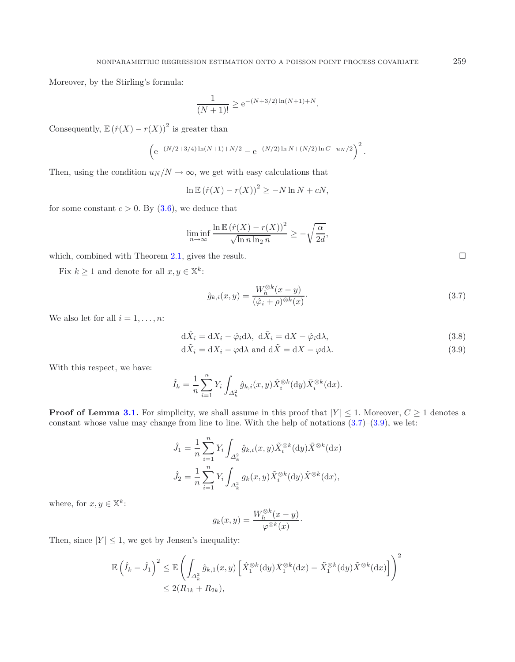Moreover, by the Stirling's formula:

$$
\frac{1}{(N+1)!} \ge e^{-(N+3/2)\ln(N+1)+N}.
$$

Consequently,  $\mathbb{E}(\hat{r}(X) - r(X))^2$  is greater than

<span id="page-8-0"></span>
$$
\left(e^{-(N/2+3/4)\ln(N+1)+N/2}-e^{-(N/2)\ln N+(N/2)\ln C-u_N/2}\right)^2.
$$

Then, using the condition  $u_N/N \to \infty$ , we get with easy calculations that

$$
\ln \mathbb{E} (\hat{r}(X) - r(X))^2 \geq -N \ln N + cN,
$$

for some constant  $c > 0$ . By  $(3.6)$ , we deduce that

$$
\liminf_{n \to \infty} \frac{\ln \mathbb{E} (\hat{r}(X) - r(X))^2}{\sqrt{\ln n \ln_2 n}} \ge -\sqrt{\frac{\alpha}{2d}},
$$

which, combined with Theorem  $2.1$ , gives the result.

Fix  $k \ge 1$  and denote for all  $x, y \in \mathbb{X}^k$ :

$$
\hat{g}_{k,i}(x,y) = \frac{W_h^{\otimes k}(x-y)}{(\hat{\varphi}_i + \rho)^{\otimes k}(x)}.
$$
\n(3.7)

We also let for all  $i = 1, \ldots, n$ :

<span id="page-8-1"></span>
$$
d\hat{X}_i = dX_i - \hat{\varphi}_i d\lambda, \ d\bar{X}_i = dX - \hat{\varphi}_i d\lambda,
$$
\n(3.8)

$$
d\tilde{X}_i = dX_i - \varphi d\lambda \text{ and } d\tilde{X} = dX - \varphi d\lambda.
$$
 (3.9)

With this respect, we have:

$$
\hat{I}_k = \frac{1}{n} \sum_{i=1}^n Y_i \int_{\Delta_k^2} \hat{g}_{k,i}(x, y) \hat{X}_i^{\otimes k}(\mathrm{d}y) \bar{X}_i^{\otimes k}(\mathrm{d}x).
$$

**Proof of Lemma [3.1.](#page-6-0)** For simplicity, we shall assume in this proof that  $|Y| \leq 1$ . Moreover,  $C \geq 1$  denotes a constant whose value may change from line to line. With the help of notations  $(3.7)$ – $(3.9)$ , we let:

$$
\hat{J}_1 = \frac{1}{n} \sum_{i=1}^n Y_i \int_{\Delta_k^2} \hat{g}_{k,i}(x, y) \tilde{X}_i^{\otimes k}(\mathrm{d}y) \tilde{X}^{\otimes k}(\mathrm{d}x)
$$

$$
\hat{J}_2 = \frac{1}{n} \sum_{i=1}^n Y_i \int_{\Delta_k^2} g_k(x, y) \tilde{X}_i^{\otimes k}(\mathrm{d}y) \tilde{X}^{\otimes k}(\mathrm{d}x),
$$

where, for  $x, y \in \mathbb{X}^k$ :

$$
g_k(x,y) = \frac{W_h^{\otimes k}(x-y)}{\varphi^{\otimes k}(x)}.
$$

Then, since  $|Y| \leq 1$ , we get by Jensen's inequality:

$$
\mathbb{E}\left(\hat{I}_k - \hat{J}_1\right)^2 \leq \mathbb{E}\left(\int_{\Delta_k^2} \hat{g}_{k,1}(x,y) \left[\hat{X}_1^{\otimes k}(\mathrm{d}y)\bar{X}_1^{\otimes k}(\mathrm{d}x) - \tilde{X}_1^{\otimes k}(\mathrm{d}y)\tilde{X}^{\otimes k}(\mathrm{d}x)\right]\right)^2
$$
  
\$\leq 2(R\_{1k} + R\_{2k}),\$

 $\Box$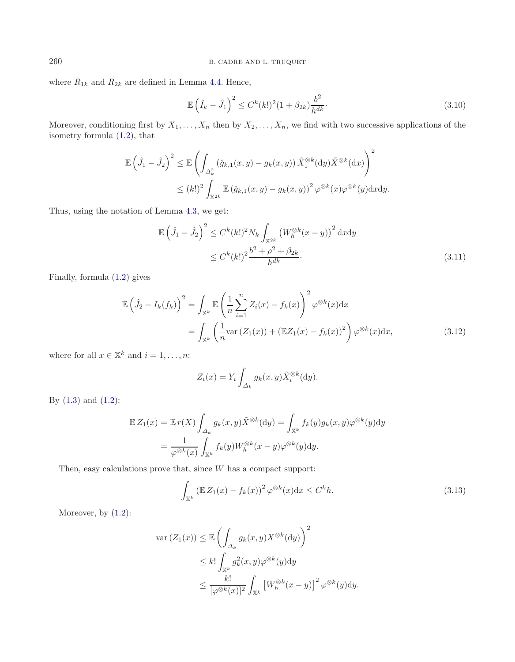where  $R_{1k}$  and  $R_{2k}$  are defined in Lemma [4.4.](#page-14-0) Hence,

<span id="page-9-1"></span>
$$
\mathbb{E}\left(\hat{I}_k - \hat{J}_1\right)^2 \le C^k(k!)^2 (1 + \beta_{2k}) \frac{b^2}{h^{dk}}.\tag{3.10}
$$

Moreover, conditioning first by  $X_1, \ldots, X_n$  then by  $X_2, \ldots, X_n$ , we find with two successive applications of the isometry formula [\(1.2\)](#page-1-1), that

$$
\mathbb{E}\left(\hat{J}_1 - \hat{J}_2\right)^2 \leq \mathbb{E}\left(\int_{\Delta_k^2} (\hat{g}_{k,1}(x,y) - g_k(x,y)) \tilde{X}_1^{\otimes k}(\mathrm{d}y) \tilde{X}^{\otimes k}(\mathrm{d}x)\right)^2
$$
  

$$
\leq (k!)^2 \int_{\mathbb{X}^{2k}} \mathbb{E}\left(\hat{g}_{k,1}(x,y) - g_k(x,y)\right)^2 \varphi^{\otimes k}(x) \varphi^{\otimes k}(y) \mathrm{d}x \mathrm{d}y.
$$

<span id="page-9-2"></span>Thus, using the notation of Lemma [4.3,](#page-13-0) we get:

$$
\mathbb{E}\left(\hat{J}_1 - \hat{J}_2\right)^2 \le C^k(k!)^2 N_k \int_{\mathbb{X}^{2k}} \left(W_h^{\otimes k}(x - y)\right)^2 dxdy
$$
  
 
$$
\le C^k(k!)^2 \frac{b^2 + \rho^2 + \beta_{2k}}{h^{dk}}.
$$
 (3.11)

<span id="page-9-0"></span>Finally, formula [\(1.2\)](#page-1-1) gives

$$
\mathbb{E}\left(\hat{J}_2 - I_k(f_k)\right)^2 = \int_{\mathbb{X}^k} \mathbb{E}\left(\frac{1}{n}\sum_{i=1}^n Z_i(x) - f_k(x)\right)^2 \varphi^{\otimes k}(x) dx
$$

$$
= \int_{\mathbb{X}^k} \left(\frac{1}{n} \text{var}\left(Z_1(x)\right) + \left(\mathbb{E}Z_1(x) - f_k(x)\right)^2\right) \varphi^{\otimes k}(x) dx,
$$
(3.12)

where for all  $x \in \mathbb{X}^k$  and  $i = 1, \ldots, n$ :

$$
Z_i(x) = Y_i \int_{\Delta_k} g_k(x, y) \tilde{X}_i^{\otimes k}(\mathrm{d}y).
$$

By  $(1.3)$  and  $(1.2)$ :

$$
\mathbb{E} Z_1(x) = \mathbb{E} r(X) \int_{\Delta_k} g_k(x, y) \tilde{X}^{\otimes k}(\mathrm{d}y) = \int_{\mathbb{X}^k} f_k(y) g_k(x, y) \varphi^{\otimes k}(y) \mathrm{d}y
$$

$$
= \frac{1}{\varphi^{\otimes k}(x)} \int_{\mathbb{X}^k} f_k(y) W_h^{\otimes k}(x - y) \varphi^{\otimes k}(y) \mathrm{d}y.
$$

Then, easy calculations prove that, since  $W$  has a compact support:

$$
\int_{\mathbb{X}^k} \left( \mathbb{E} Z_1(x) - f_k(x) \right)^2 \varphi^{\otimes k}(x) dx \le C^k h. \tag{3.13}
$$

Moreover, by  $(1.2)$ :

$$
\operatorname{var}(Z_1(x)) \leq \mathbb{E}\left(\int_{\Delta_k} g_k(x, y) X^{\otimes k}(\mathrm{d}y)\right)^2
$$
  

$$
\leq k! \int_{\mathbb{X}^k} g_k^2(x, y) \varphi^{\otimes k}(y) \mathrm{d}y
$$
  

$$
\leq \frac{k!}{[\varphi^{\otimes k}(x)]^2} \int_{\mathbb{X}^k} [W_h^{\otimes k}(x-y)]^2 \varphi^{\otimes k}(y) \mathrm{d}y.
$$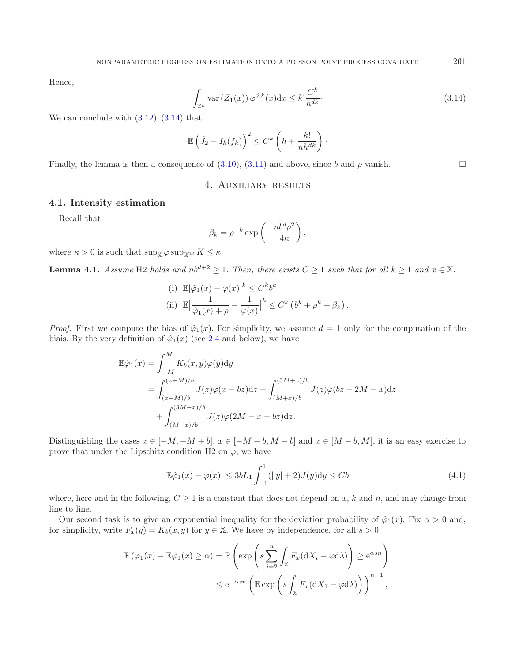<span id="page-10-0"></span>Hence,

$$
\int_{\mathbb{X}^k} \text{var}\left(Z_1(x)\right) \varphi^{\otimes k}(x) \mathrm{d}x \le k! \frac{C^k}{h^{dk}}.\tag{3.14}
$$

We can conclude with  $(3.12)$ – $(3.14)$  that

$$
\mathbb{E}\left(\hat{J}_2 - I_k(f_k)\right)^2 \leq C^k \left(h + \frac{k!}{nh^{dk}}\right).
$$

Finally, the lemma is then a consequence of  $(3.10)$ ,  $(3.11)$  and above, since b and  $\rho$  vanish.

## 4. Auxiliary results

#### **4.1. Intensity estimation**

Recall that

$$
\beta_k = \rho^{-k} \exp\left(-\frac{nb^d \rho^2}{4\kappa}\right),\,
$$

<span id="page-10-2"></span>where  $\kappa > 0$  is such that  $\sup_{\mathbb{X}} \varphi \sup_{\mathbb{R}^{2d}} K \leq \kappa$ .

**Lemma 4.1.** *Assume* H2 *holds and*  $nb^{d+2} \ge 1$ *. Then, there exists*  $C \ge 1$  *such that for all*  $k \ge 1$  *and*  $x \in \mathbb{X}$ *:* 

<span id="page-10-1"></span>(i) 
$$
\mathbb{E}|\hat{\varphi}_1(x) - \varphi(x)|^k \leq C^k b^k
$$
  
\n(ii)  $\mathbb{E}|\frac{1}{\hat{\varphi}_1(x) + \rho} - \frac{1}{\varphi(x)}|^k \leq C^k (b^k + \rho^k + \beta_k).$ 

*Proof.* First we compute the bias of  $\hat{\varphi}_1(x)$ . For simplicity, we assume  $d = 1$  only for the computation of the biais. By the very definition of  $\hat{\varphi}_1(x)$  (see [2.4](#page-3-2) and below), we have

$$
\mathbb{E}\hat{\varphi}_1(x) = \int_{-M}^{M} K_b(x, y)\varphi(y)dy \n= \int_{(x-M)/b}^{(x+M)/b} J(z)\varphi(x - bz)dz + \int_{(M+x)/b}^{(3M+x)/b} J(z)\varphi(bz - 2M - x)dz \n+ \int_{(M-x)/b}^{(3M-x)/b} J(z)\varphi(2M - x - bz)dz.
$$

Distinguishing the cases  $x \in [-M, -M + b]$ ,  $x \in [-M + b, M - b]$  and  $x \in [M - b, M]$ , it is an easy exercise to prove that under the Lipschitz condition H2 on  $\varphi$ , we have

$$
|\mathbb{E}\hat{\varphi}_1(x) - \varphi(x)| \le 3bL_1 \int_{-1}^1 (||y| + 2)J(y)dy \le Cb,
$$
\n(4.1)

where, here and in the following,  $C \geq 1$  is a constant that does not depend on x, k and n, and may change from line to line.

Our second task is to give an exponential inequality for the deviation probability of  $\hat{\varphi}_1(x)$ . Fix  $\alpha > 0$  and, for simplicity, write  $F_x(y) = K_b(x, y)$  for  $y \in \mathbb{X}$ . We have by independence, for all  $s > 0$ :

$$
\mathbb{P}(\hat{\varphi}_1(x) - \mathbb{E}\hat{\varphi}_1(x) \ge \alpha) = \mathbb{P}\left(\exp\left(s\sum_{i=2}^n \int_{\mathbb{X}} F_x(\mathrm{d}X_i - \varphi \mathrm{d}\lambda)\right) \ge e^{\alpha s n}\right)
$$
  

$$
\le e^{-\alpha s n} \left(\mathbb{E} \exp\left(s\int_{\mathbb{X}} F_x(\mathrm{d}X_1 - \varphi \mathrm{d}\lambda)\right)\right)^{n-1},
$$

 $\Box$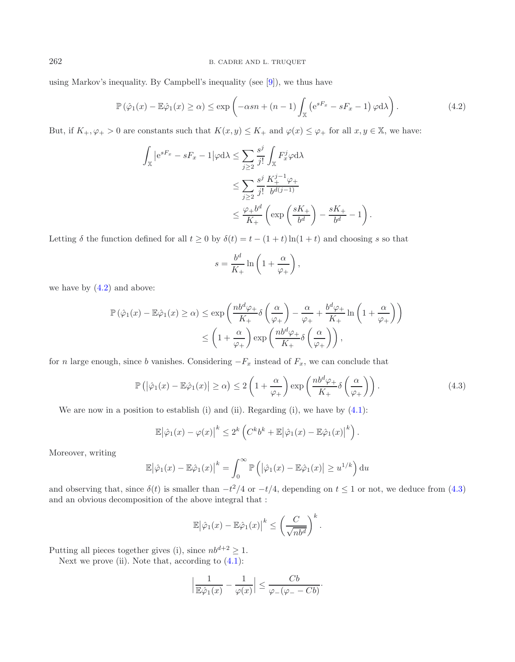using Markov's inequality. By Campbell's inequality (see [\[9](#page-16-8)]), we thus have

<span id="page-11-0"></span>
$$
\mathbb{P}\left(\hat{\varphi}_1(x) - \mathbb{E}\hat{\varphi}_1(x) \ge \alpha\right) \le \exp\left(-\alpha s n + (n-1)\int_{\mathbb{X}} \left(e^{sF_x} - sF_x - 1\right)\varphi \,d\lambda\right). \tag{4.2}
$$

But, if  $K_+,\varphi_+ > 0$  are constants such that  $K(x,y) \leq K_+$  and  $\varphi(x) \leq \varphi_+$  for all  $x,y \in \mathbb{X}$ , we have:

$$
\int_{\mathbb{X}} |e^{sF_x} - sF_x - 1| \varphi d\lambda \le \sum_{j\ge 2} \frac{s^j}{j!} \int_{\mathbb{X}} F_x^j \varphi d\lambda
$$
  

$$
\le \sum_{j\ge 2} \frac{s^j}{j!} \frac{K_+^{j-1} \varphi_+}{b^{d(j-1)}} \le \frac{\varphi_+ b^d}{K_+} \left( \exp\left(\frac{sK_+}{b^d}\right) - \frac{sK_+}{b^d} - 1 \right).
$$

Letting  $\delta$  the function defined for all  $t \geq 0$  by  $\delta(t) = t - (1 + t) \ln(1 + t)$  and choosing s so that

<span id="page-11-1"></span>
$$
s = \frac{b^d}{K_+} \ln\left(1 + \frac{\alpha}{\varphi_+}\right),
$$

we have by  $(4.2)$  and above:

$$
\mathbb{P}\left(\hat{\varphi}_1(x) - \mathbb{E}\hat{\varphi}_1(x)\geq \alpha\right) \leq \exp\left(\frac{nb^d\varphi_+}{K_+}\delta\left(\frac{\alpha}{\varphi_+}\right) - \frac{\alpha}{\varphi_+} + \frac{b^d\varphi_+}{K_+}\ln\left(1 + \frac{\alpha}{\varphi_+}\right)\right)
$$

$$
\leq \left(1 + \frac{\alpha}{\varphi_+}\right)\exp\left(\frac{nb^d\varphi_+}{K_+}\delta\left(\frac{\alpha}{\varphi_+}\right)\right),
$$

for n large enough, since b vanishes. Considering  $-F_x$  instead of  $F_x$ , we can conclude that

$$
\mathbb{P}\left(\left|\hat{\varphi}_1(x) - \mathbb{E}\hat{\varphi}_1(x)\right| \geq \alpha\right) \leq 2\left(1 + \frac{\alpha}{\varphi_+}\right) \exp\left(\frac{nb^d \varphi_+}{K_+} \delta\left(\frac{\alpha}{\varphi_+}\right)\right). \tag{4.3}
$$

We are now in a position to establish (i) and (ii). Regarding (i), we have by  $(4.1)$ :

$$
\mathbb{E}|\hat{\varphi}_1(x)-\varphi(x)|^k \leq 2^k \left(C^k b^k + \mathbb{E}|\hat{\varphi}_1(x)-\mathbb{E}\hat{\varphi}_1(x)|^k\right).
$$

Moreover, writing

$$
\mathbb{E}|\hat{\varphi}_1(x) - \mathbb{E}\hat{\varphi}_1(x)\big|^k = \int_0^\infty \mathbb{P}\left(|\hat{\varphi}_1(x) - \mathbb{E}\hat{\varphi}_1(x)| \ge u^{1/k}\right) \mathrm{d}u
$$

and observing that, since  $\delta(t)$  is smaller than  $-t^2/4$  or  $-t/4$ , depending on  $t \leq 1$  or not, we deduce from [\(4.3\)](#page-11-1) and an obvious decomposition of the above integral that :

$$
\mathbb{E} \left| \hat{\varphi}_1(x) - \mathbb{E} \hat{\varphi}_1(x) \right|^k \le \left( \frac{C}{\sqrt{n b^d}} \right)^k.
$$

Putting all pieces together gives (i), since  $nb^{d+2} \geq 1$ .

Next we prove (ii). Note that, according to  $(4.1)$ :

$$
\left|\frac{1}{\mathbb{E}\hat{\varphi}_1(x)}-\frac{1}{\varphi(x)}\right|\leq \frac{Cb}{\varphi_-(\varphi_--Cb)}.
$$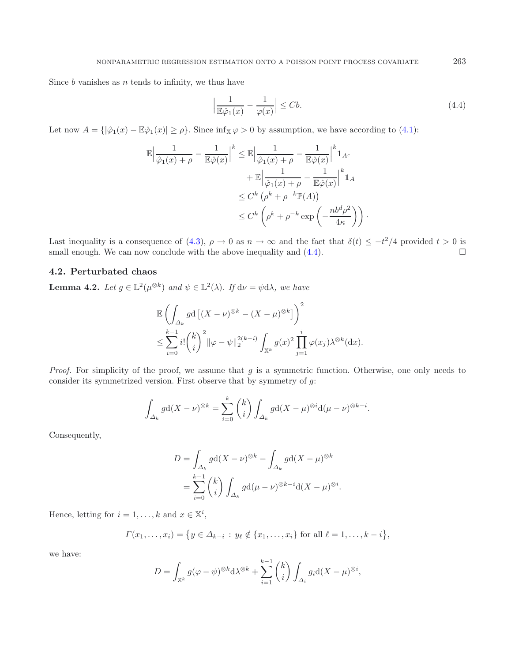Since  $b$  vanishes as  $n$  tends to infinity, we thus have

<span id="page-12-0"></span>
$$
\left|\frac{1}{\mathbb{E}\hat{\varphi}_1(x)} - \frac{1}{\varphi(x)}\right| \le Cb. \tag{4.4}
$$

Let now  $A = \{|\hat{\varphi}_1(x) - \mathbb{E}\hat{\varphi}_1(x)| \geq \rho\}$ . Since  $\inf_{\mathbb{X}} \varphi > 0$  by assumption, we have according to [\(4.1\)](#page-10-1):

$$
\mathbb{E} \left| \frac{1}{\hat{\varphi}_1(x) + \rho} - \frac{1}{\mathbb{E}\hat{\varphi}(x)} \right|^k \leq \mathbb{E} \left| \frac{1}{\hat{\varphi}_1(x) + \rho} - \frac{1}{\mathbb{E}\hat{\varphi}(x)} \right|^k \mathbf{1}_{A^c}
$$

$$
+ \mathbb{E} \left| \frac{1}{\hat{\varphi}_1(x) + \rho} - \frac{1}{\mathbb{E}\hat{\varphi}(x)} \right|^k \mathbf{1}_A
$$

$$
\leq C^k \left( \rho^k + \rho^{-k} \mathbb{P}(A) \right)
$$

$$
\leq C^k \left( \rho^k + \rho^{-k} \exp\left( -\frac{n b^d \rho^2}{4\kappa} \right) \right).
$$

Last inequality is a consequence of [\(4.3\)](#page-11-1),  $\rho \to 0$  as  $n \to \infty$  and the fact that  $\delta(t) \leq -t^2/4$  provided  $t > 0$  is small enough. We can now conclude with the above inequality and  $(4.4)$ .

## **4.2. Perturbated chaos**

<span id="page-12-1"></span>**Lemma 4.2.** *Let*  $g \in \mathbb{L}^2(\mu^{\otimes k})$  *and*  $\psi \in \mathbb{L}^2(\lambda)$ *. If*  $d\nu = \psi d\lambda$ *, we have* 

$$
\mathbb{E}\left(\int_{\Delta_k} g \mathrm{d}\left[ (X-\nu)^{\otimes k} - (X-\mu)^{\otimes k} \right] \right)^2
$$
  
\$\leq \sum\_{i=0}^{k-1} i! \binom{k}{i}^2 \|\varphi - \psi\|\_2^{2(k-i)} \int\_{\mathbb{X}^k} g(x)^2 \prod\_{j=1}^i \varphi(x\_j) \lambda^{\otimes k}(\mathrm{d}x).

*Proof.* For simplicity of the proof, we assume that g is a symmetric function. Otherwise, one only needs to consider its symmetrized version. First observe that by symmetry of  $g$ :

$$
\int_{\Delta_k} g \mathrm{d}(X - \nu)^{\otimes k} = \sum_{i=0}^k {k \choose i} \int_{\Delta_k} g \mathrm{d}(X - \mu)^{\otimes i} \mathrm{d}(\mu - \nu)^{\otimes k - i}.
$$

Consequently,

$$
D = \int_{\Delta_k} g d(X - \nu)^{\otimes k} - \int_{\Delta_k} g d(X - \mu)^{\otimes k}
$$
  
= 
$$
\sum_{i=0}^{k-1} {k \choose i} \int_{\Delta_k} g d(\mu - \nu)^{\otimes k - i} d(X - \mu)^{\otimes i}.
$$

Hence, letting for  $i = 1, ..., k$  and  $x \in \mathbb{X}^i$ ,

$$
\Gamma(x_1,\ldots,x_i) = \{ y \in \Delta_{k-i} : y_\ell \notin \{x_1,\ldots,x_i\} \text{ for all } \ell = 1,\ldots,k-i \},\
$$

we have:

$$
D = \int_{\mathbb{X}^k} g(\varphi - \psi)^{\otimes k} d\lambda^{\otimes k} + \sum_{i=1}^{k-1} {k \choose i} \int_{\Delta_i} g_i d(X - \mu)^{\otimes i},
$$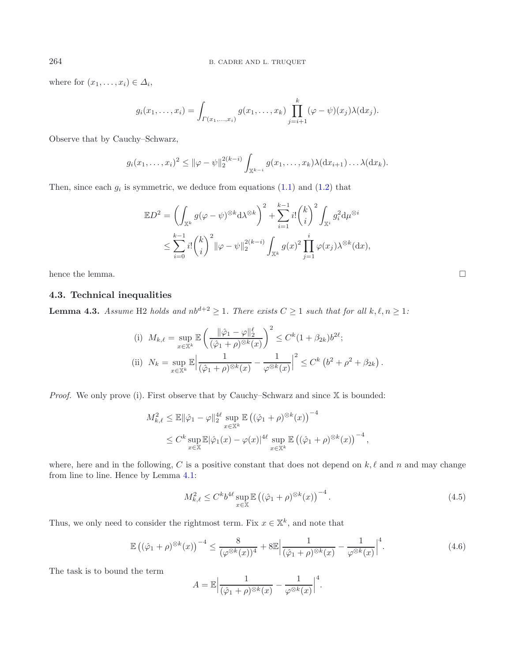where for  $(x_1, \ldots, x_i) \in \Delta_i$ ,

$$
g_i(x_1,\ldots,x_i) = \int_{\Gamma(x_1,\ldots,x_i)} g(x_1,\ldots,x_k) \prod_{j=i+1}^k (\varphi - \psi)(x_j) \lambda(\mathrm{d} x_j).
$$

Observe that by Cauchy–Schwarz,

$$
g_i(x_1,\ldots,x_i)^2 \leq ||\varphi - \psi||_2^{2(k-i)} \int_{\mathbb{X}^{k-i}} g(x_1,\ldots,x_k) \lambda(dx_{i+1}) \ldots \lambda(dx_k).
$$

Then, since each  $g_i$  is symmetric, we deduce from equations  $(1.1)$  and  $(1.2)$  that

$$
\mathbb{E}D^2 = \left(\int_{\mathbb{X}^k} g(\varphi - \psi)^{\otimes k} d\lambda^{\otimes k}\right)^2 + \sum_{i=1}^{k-1} i! \binom{k}{i}^2 \int_{\mathbb{X}^i} g_i^2 d\mu^{\otimes i} \n\leq \sum_{i=0}^{k-1} i! \binom{k}{i}^2 \|\varphi - \psi\|_2^{2(k-i)} \int_{\mathbb{X}^k} g(x)^2 \prod_{j=1}^i \varphi(x_j) \lambda^{\otimes k} (dx),
$$

hence the lemma.

## **4.3. Technical inequalities**

<span id="page-13-0"></span>**Lemma 4.3.** *Assume* H2 *holds and*  $nb^{d+2} \ge 1$ *. There exists*  $C \ge 1$  *such that for all*  $k, \ell, n \ge 1$ *:* 

<span id="page-13-1"></span>(i) 
$$
M_{k,\ell} = \sup_{x \in \mathbb{X}^k} \mathbb{E} \left( \frac{\|\hat{\varphi}_1 - \varphi\|_2^{\ell}}{(\hat{\varphi}_1 + \rho)^{\otimes k}(x)} \right)^2 \le C^k (1 + \beta_{2k}) b^{2\ell};
$$
  
\n(ii) 
$$
N_k = \sup_{x \in \mathbb{X}^k} \mathbb{E} \left| \frac{1}{(\hat{\varphi}_1 + \rho)^{\otimes k}(x)} - \frac{1}{\varphi^{\otimes k}(x)} \right|^2 \le C^k (b^2 + \rho^2 + \beta_{2k})
$$

*Proof.* We only prove (i). First observe that by Cauchy–Schwarz and since X is bounded:

$$
M_{k,\ell}^2 \leq \mathbb{E} \|\hat{\varphi}_1 - \varphi\|_2^{4\ell} \sup_{x \in \mathbb{X}^k} \mathbb{E} \left( (\hat{\varphi}_1 + \rho)^{\otimes k}(x) \right)^{-4}
$$
  
 
$$
\leq C^k \sup_{x \in \mathbb{X}} \mathbb{E} |\hat{\varphi}_1(x) - \varphi(x)|^{4\ell} \sup_{x \in \mathbb{X}^k} \mathbb{E} \left( (\hat{\varphi}_1 + \rho)^{\otimes k}(x) \right)^{-4},
$$

where, here and in the following, C is a positive constant that does not depend on  $k, \ell$  and n and may change from line to line. Hence by Lemma [4.1:](#page-10-2)

$$
M_{k,\ell}^2 \le C^k b^{4\ell} \sup_{x \in \mathbb{X}} \mathbb{E} \left( (\hat{\varphi}_1 + \rho)^{\otimes k}(x) \right)^{-4} . \tag{4.5}
$$

<span id="page-13-2"></span>.

Thus, we only need to consider the rightmost term. Fix  $x \in \mathbb{X}^k$ , and note that

$$
\mathbb{E}\left((\hat{\varphi}_1+\rho)^{\otimes k}(x)\right)^{-4} \le \frac{8}{(\varphi^{\otimes k}(x))^4} + 8\mathbb{E}\Big|\frac{1}{(\hat{\varphi}_1+\rho)^{\otimes k}(x)} - \frac{1}{\varphi^{\otimes k}(x)}\Big|^4.
$$
\n(4.6)

The task is to bound the term

$$
A = \mathbb{E} \Big| \frac{1}{(\hat{\varphi}_1 + \rho)^{\otimes k}(x)} - \frac{1}{\varphi^{\otimes k}(x)} \Big|^4.
$$

 $\Box$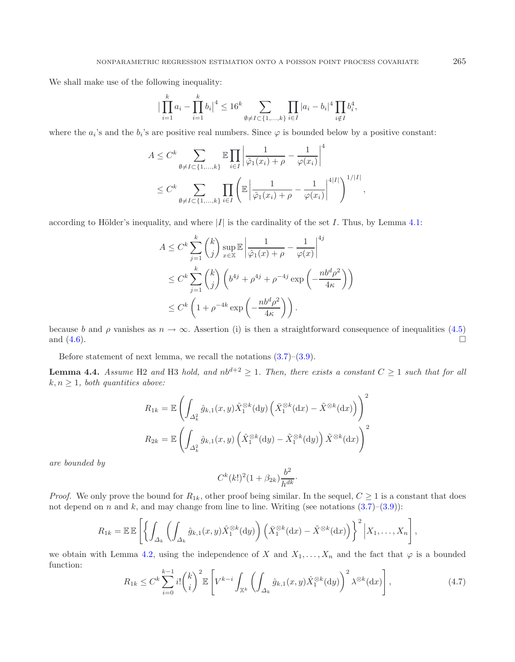We shall make use of the following inequality:

$$
\big|\prod_{i=1}^k a_i - \prod_{i=1}^k b_i\big|^4 \le 16^k \sum_{\emptyset \neq I \subset \{1,\dots,k\}} \prod_{i \in I} |a_i - b_i|^4 \prod_{i \notin I} b_i^4,
$$

where the  $a_i$ 's and the  $b_i$ 's are positive real numbers. Since  $\varphi$  is bounded below by a positive constant:

$$
A \leq C^{k} \sum_{\emptyset \neq I \subset \{1,...,k\}} \mathbb{E} \prod_{i \in I} \left| \frac{1}{\hat{\varphi}_{1}(x_{i}) + \rho} - \frac{1}{\varphi(x_{i})} \right|^{4}
$$
  

$$
\leq C^{k} \sum_{\emptyset \neq I \subset \{1,...,k\}} \prod_{i \in I} \left( \mathbb{E} \left| \frac{1}{\hat{\varphi}_{1}(x_{i}) + \rho} - \frac{1}{\varphi(x_{i})} \right|^{4|I|} \right)^{1/|I|},
$$

according to Hölder's inequality, and where  $|I|$  is the cardinality of the set I. Thus, by Lemma [4.1:](#page-10-2)

$$
A \leq C^k \sum_{j=1}^k {k \choose j} \sup_{x \in \mathbb{X}} \mathbb{E} \left| \frac{1}{\hat{\varphi}_1(x) + \rho} - \frac{1}{\varphi(x)} \right|^{4j}
$$
  

$$
\leq C^k \sum_{j=1}^k {k \choose j} \left( b^{4j} + \rho^{4j} + \rho^{-4j} \exp \left( -\frac{nb^d \rho^2}{4\kappa} \right) \right)
$$
  

$$
\leq C^k \left( 1 + \rho^{-4k} \exp \left( -\frac{nb^d \rho^2}{4\kappa} \right) \right).
$$

because b and  $\rho$  vanishes as  $n \to \infty$ . Assertion (i) is then a straightforward consequence of inequalities [\(4.5\)](#page-13-1) and  $(4.6)$ .

Before statement of next lemma, we recall the notations  $(3.7)$ – $(3.9)$ .

<span id="page-14-0"></span>**Lemma 4.4.** *Assume* H2 *and* H3 *hold, and*  $nb^{d+2} \geq 1$ *. Then, there exists a constant*  $C \geq 1$  *such that for all*  $k, n \geq 1$ *, both quantities above:* 

$$
R_{1k} = \mathbb{E}\left(\int_{\Delta_k^2} \hat{g}_{k,1}(x,y)\hat{X}_1^{\otimes k}(\mathrm{d}y) \left(\bar{X}_1^{\otimes k}(\mathrm{d}x) - \tilde{X}^{\otimes k}(\mathrm{d}x)\right)\right)^2
$$

$$
R_{2k} = \mathbb{E}\left(\int_{\Delta_k^2} \hat{g}_{k,1}(x,y) \left(\hat{X}_1^{\otimes k}(\mathrm{d}y) - \tilde{X}_1^{\otimes k}(\mathrm{d}y)\right)\tilde{X}^{\otimes k}(\mathrm{d}x)\right)^2
$$

<span id="page-14-1"></span>*are bounded by*

$$
C^k(k!)^2(1+\beta_{2k})\frac{b^2}{h^{dk}}.
$$

*Proof.* We only prove the bound for  $R_{1k}$ , other proof being similar. In the sequel,  $C \geq 1$  is a constant that does not depend on n and k, and may change from line to line. Writing (see notations  $(3.7)-(3.9)$  $(3.7)-(3.9)$  $(3.7)-(3.9)$ ):

$$
R_{1k} = \mathbb{E} \mathbb{E} \left[ \left\{ \int_{\Delta_k} \left( \int_{\Delta_k} \hat{g}_{k,1}(x,y) \hat{X}_1^{\otimes k}(\mathrm{d}y) \right) \left( \bar{X}_1^{\otimes k}(\mathrm{d}x) - \tilde{X}^{\otimes k}(\mathrm{d}x) \right) \right\}^2 \Big| X_1, \ldots, X_n \right],
$$

we obtain with Lemma [4.2,](#page-12-1) using the independence of X and  $X_1, \ldots, X_n$  and the fact that  $\varphi$  is a bounded function: k

$$
R_{1k} \leq C^k \sum_{i=0}^{k-1} i! \binom{k}{i}^2 \mathbb{E} \left[ V^{k-i} \int_{\mathbb{X}^k} \left( \int_{\Delta_k} \hat{g}_{k,1}(x,y) \hat{X}_1^{\otimes k}(\mathrm{d}y) \right)^2 \lambda^{\otimes k}(\mathrm{d}x) \right],\tag{4.7}
$$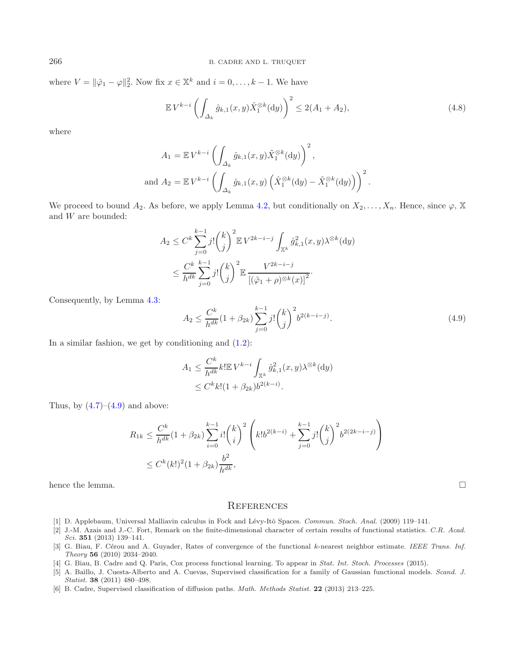where  $V = ||\hat{\varphi}_1 - \varphi||_2^2$ . Now fix  $x \in \mathbb{X}^k$  and  $i = 0, \ldots, k - 1$ . We have

$$
\mathbb{E} V^{k-i} \left( \int_{\Delta_k} \hat{g}_{k,1}(x,y) \hat{X}_1^{\otimes k}(\mathrm{d}y) \right)^2 \le 2(A_1 + A_2),\tag{4.8}
$$

where

<span id="page-15-6"></span>
$$
A_1 = \mathbb{E} V^{k-i} \left( \int_{\Delta_k} \hat{g}_{k,1}(x, y) \tilde{X}_1^{\otimes k}(\mathrm{d}y) \right)^2,
$$
  
and 
$$
A_2 = \mathbb{E} V^{k-i} \left( \int_{\Delta_k} \hat{g}_{k,1}(x, y) \left( \hat{X}_1^{\otimes k}(\mathrm{d}y) - \tilde{X}_1^{\otimes k}(\mathrm{d}y) \right) \right)^2.
$$

We proceed to bound  $A_2$ . As before, we apply Lemma [4.2,](#page-12-1) but conditionally on  $X_2,\ldots,X_n$ . Hence, since  $\varphi$ , X and W are bounded:

$$
A_2 \le C^k \sum_{j=0}^{k-1} j! \binom{k}{j}^2 \mathbb{E} V^{2k-i-j} \int_{\mathbb{X}^k} \hat{g}_{k,1}^2(x, y) \lambda^{\otimes k}(\mathrm{d}y)
$$
  

$$
\le \frac{C^k}{h^{dk}} \sum_{j=0}^{k-1} j! \binom{k}{j}^2 \mathbb{E} \frac{V^{2k-i-j}}{\left[ (\hat{\varphi}_1 + \rho)^{\otimes k}(x) \right]^2}.
$$

Consequently, by Lemma [4.3:](#page-13-0)

$$
A_2 \le \frac{C^k}{h^{dk}} (1 + \beta_{2k}) \sum_{j=0}^{k-1} j! \binom{k}{j}^2 b^{2(k-i-j)}.
$$
\n(4.9)

In a similar fashion, we get by conditioning and  $(1.2)$ :

$$
A_1 \le \frac{C^k}{h^{dk}} k! \mathbb{E} V^{k-i} \int_{\mathbb{X}^k} \hat{g}_{k,1}^2(x, y) \lambda^{\otimes k}(\mathrm{d}y)
$$
  
 
$$
\le C^k k! (1 + \beta_{2k}) b^{2(k-i)}.
$$

Thus, by  $(4.7)$ – $(4.9)$  and above:

$$
R_{1k} \le \frac{C^k}{h^{dk}} (1 + \beta_{2k}) \sum_{i=0}^{k-1} i! {k \choose i}^2 \left( k! b^{2(k-i)} + \sum_{j=0}^{k-1} j! {k \choose j}^2 b^{2(2k-i-j)} \right)
$$
  

$$
\le C^k (k!)^2 (1 + \beta_{2k}) \frac{b^2}{h^{dk}},
$$

hence the lemma.  $\Box$ 

### **REFERENCES**

- <span id="page-15-4"></span>[1] D. Applebaum, Universal Malliavin calculus in Fock and Lévy-Itô Spaces. *Commun. Stoch. Anal.* (2009) 119–141.
- <span id="page-15-0"></span>[2] J.-M. Azais and J.-C. Fort, Remark on the finite-dimensional character of certain results of functional statistics. *C.R. Acad. Sci.* **351** (2013) 139–141.
- <span id="page-15-5"></span>[3] G. Biau, F. Cérou and A. Guyader, Rates of convergence of the functional k-nearest neighbor estimate. *IEEE Trans. Inf. Theory* **56** (2010) 2034–2040.
- <span id="page-15-2"></span>[4] G. Biau, B. Cadre and Q. Paris, Cox process functional learning. To appear in *Stat. Int. Stoch. Processes* (2015).
- <span id="page-15-1"></span>[5] A. Ba`ıllo, J. Cuesta-Alberto and A. Cuevas, Supervised classification for a family of Gaussian functional models. *Scand. J. Statist.* **38** (2011) 480–498.
- <span id="page-15-3"></span>[6] B. Cadre, Supervised classification of diffusion paths. *Math. Methods Statist.* **22** (2013) 213–225.